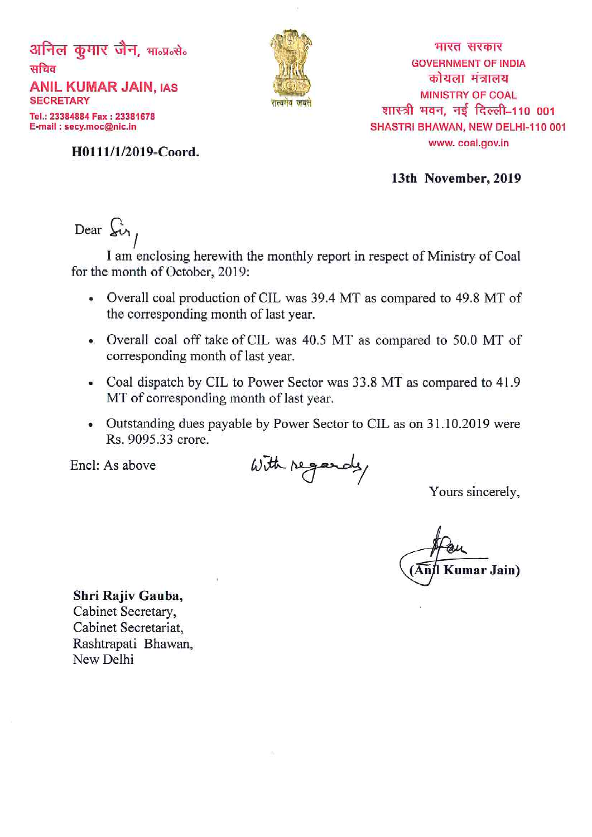अनिल कुमार जैन, मान्प्रन्सेन सचिव **ANIL KUMAR JAIN, IAS SECRETARY** Tel.: 23384884 Fax: 23381678 E-mail: secy.moc@nic.in



मारत सरकार **GOVERNMENT OF INDIA** कोयला मंत्रालय **MINISTRY OF COAL** शास्त्री भवन, नई दिल्ली-110 001 SHASTRI BHAWAN, NEW DELHI-110 001 www.coal.gov.in

H0111/1/2019-Coord.

13th November, 2019

Dear  $\xi$ <sub>i</sub>

I am enclosing herewith the monthly report in respect of Ministry of Coal for the month of October, 2019:

- Overall coal production of CIL was 39.4 MT as compared to 49.8 MT of the corresponding month of last year.
- Overall coal off take of CIL was 40.5 MT as compared to 50.0 MT of corresponding month of last year.
- Coal dispatch by CIL to Power Sector was 33.8 MT as compared to 41.9 MT of corresponding month of last year.
- Outstanding dues payable by Power Sector to CIL as on 31.10.2019 were Rs. 9095.33 crore.

Encl: As above

With regards,

Yours sincerely,

**Kumar Jain**)

Shri Rajiv Gauba, Cabinet Secretary, Cabinet Secretariat. Rashtrapati Bhawan, New Delhi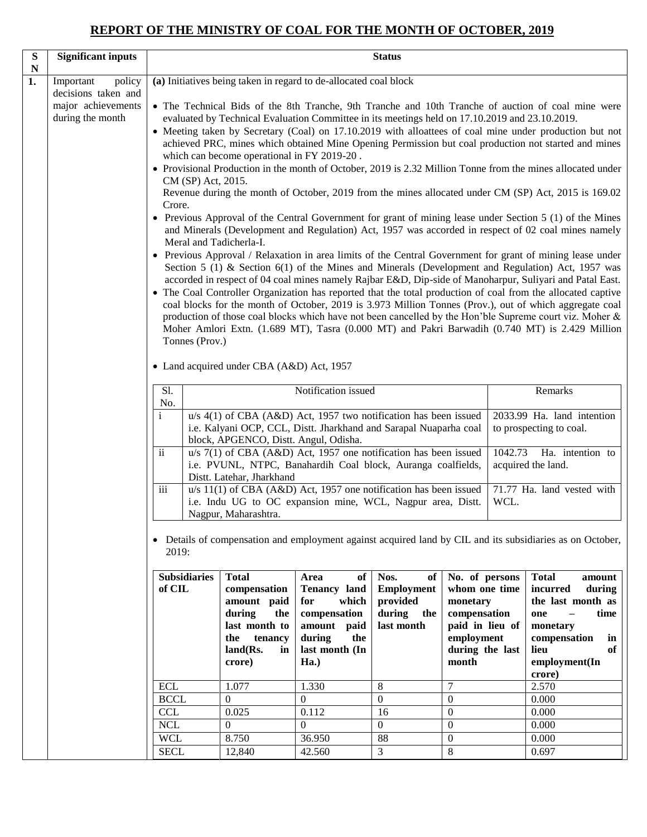# **REPORT OF THE MINISTRY OF COAL FOR THE MONTH OF OCTOBER, 2019**

| ${\bf S}$         | <b>Significant inputs</b>                                                            |                                                                           |                                                                                                                             |                                                                                                                                                                    | <b>Status</b>                                                              |                                                                                                                          |         |                                                                                                                                                                                                                                                                                                                                                                                                                                                                                                                                                                                                                                                                                                                                                                                                                                                                                                                                                                                                                                                                                                                                                                                                                                                                                                                                                                                                                                                                                                                                       |  |
|-------------------|--------------------------------------------------------------------------------------|---------------------------------------------------------------------------|-----------------------------------------------------------------------------------------------------------------------------|--------------------------------------------------------------------------------------------------------------------------------------------------------------------|----------------------------------------------------------------------------|--------------------------------------------------------------------------------------------------------------------------|---------|---------------------------------------------------------------------------------------------------------------------------------------------------------------------------------------------------------------------------------------------------------------------------------------------------------------------------------------------------------------------------------------------------------------------------------------------------------------------------------------------------------------------------------------------------------------------------------------------------------------------------------------------------------------------------------------------------------------------------------------------------------------------------------------------------------------------------------------------------------------------------------------------------------------------------------------------------------------------------------------------------------------------------------------------------------------------------------------------------------------------------------------------------------------------------------------------------------------------------------------------------------------------------------------------------------------------------------------------------------------------------------------------------------------------------------------------------------------------------------------------------------------------------------------|--|
| $\mathbf N$<br>1. | Important<br>policy<br>decisions taken and<br>major achievements<br>during the month | CM (SP) Act, 2015.<br>Crore.<br>Meral and Tadicherla-I.<br>Tonnes (Prov.) | which can become operational in FY 2019-20.                                                                                 | (a) Initiatives being taken in regard to de-allocated coal block<br>evaluated by Technical Evaluation Committee in its meetings held on 17.10.2019 and 23.10.2019. |                                                                            |                                                                                                                          |         | • The Technical Bids of the 8th Tranche, 9th Tranche and 10th Tranche of auction of coal mine were<br>• Meeting taken by Secretary (Coal) on 17.10.2019 with alloattees of coal mine under production but not<br>achieved PRC, mines which obtained Mine Opening Permission but coal production not started and mines<br>• Provisional Production in the month of October, 2019 is 2.32 Million Tonne from the mines allocated under<br>Revenue during the month of October, 2019 from the mines allocated under CM (SP) Act, 2015 is 169.02<br>• Previous Approval of the Central Government for grant of mining lease under Section 5 (1) of the Mines<br>and Minerals (Development and Regulation) Act, 1957 was accorded in respect of 02 coal mines namely<br>• Previous Approval / Relaxation in area limits of the Central Government for grant of mining lease under<br>Section 5 (1) & Section 6(1) of the Mines and Minerals (Development and Regulation) Act, 1957 was<br>accorded in respect of 04 coal mines namely Rajbar E&D, Dip-side of Manoharpur, Suliyari and Patal East.<br>• The Coal Controller Organization has reported that the total production of coal from the allocated captive<br>coal blocks for the month of October, 2019 is 3.973 Million Tonnes (Prov.), out of which aggregate coal<br>production of those coal blocks which have not been cancelled by the Hon'ble Supreme court viz. Moher &<br>Moher Amlori Extn. (1.689 MT), Tasra (0.000 MT) and Pakri Barwadih (0.740 MT) is 2.429 Million |  |
|                   |                                                                                      | • Land acquired under CBA (A&D) Act, 1957<br>Sl.<br>Notification issued   |                                                                                                                             |                                                                                                                                                                    |                                                                            |                                                                                                                          | Remarks |                                                                                                                                                                                                                                                                                                                                                                                                                                                                                                                                                                                                                                                                                                                                                                                                                                                                                                                                                                                                                                                                                                                                                                                                                                                                                                                                                                                                                                                                                                                                       |  |
|                   |                                                                                      | No.<br>$\mathbf{i}$                                                       | block, APGENCO, Distt. Angul, Odisha.                                                                                       | u/s 4(1) of CBA (A&D) Act, 1957 two notification has been issued<br>i.e. Kalyani OCP, CCL, Distt. Jharkhand and Sarapal Nuaparha coal                              |                                                                            |                                                                                                                          |         | 2033.99 Ha. land intention<br>to prospecting to coal.                                                                                                                                                                                                                                                                                                                                                                                                                                                                                                                                                                                                                                                                                                                                                                                                                                                                                                                                                                                                                                                                                                                                                                                                                                                                                                                                                                                                                                                                                 |  |
|                   |                                                                                      | $\ddot{\mathbf{i}}$                                                       | Distt. Latehar, Jharkhand                                                                                                   | $u/s$ 7(1) of CBA (A&D) Act, 1957 one notification has been issued<br>i.e. PVUNL, NTPC, Banahardih Coal block, Auranga coalfields,                                 |                                                                            |                                                                                                                          | 1042.73 | Ha. intention to<br>acquired the land.                                                                                                                                                                                                                                                                                                                                                                                                                                                                                                                                                                                                                                                                                                                                                                                                                                                                                                                                                                                                                                                                                                                                                                                                                                                                                                                                                                                                                                                                                                |  |
|                   |                                                                                      | $\overline{\text{iii}}$                                                   | Nagpur, Maharashtra.                                                                                                        | $u/s$ 11(1) of CBA (A&D) Act, 1957 one notification has been issued<br>i.e. Indu UG to OC expansion mine, WCL, Nagpur area, Distt.                                 |                                                                            |                                                                                                                          | WCL.    | 71.77 Ha. land vested with                                                                                                                                                                                                                                                                                                                                                                                                                                                                                                                                                                                                                                                                                                                                                                                                                                                                                                                                                                                                                                                                                                                                                                                                                                                                                                                                                                                                                                                                                                            |  |
|                   |                                                                                      | 2019:                                                                     |                                                                                                                             |                                                                                                                                                                    |                                                                            |                                                                                                                          |         | • Details of compensation and employment against acquired land by CIL and its subsidiaries as on October,                                                                                                                                                                                                                                                                                                                                                                                                                                                                                                                                                                                                                                                                                                                                                                                                                                                                                                                                                                                                                                                                                                                                                                                                                                                                                                                                                                                                                             |  |
|                   |                                                                                      | <b>Subsidiaries</b><br>of CIL                                             | <b>Total</b><br>compensation<br>amount paid<br>during<br>the<br>last month to<br>the<br>tenancy<br>land(Rs.<br>in<br>crore) | of<br>Area<br><b>Tenancy land</b><br>for<br>which<br>compensation<br>amount paid<br>during<br>the<br>last month (In<br>Ha.)                                        | Nos.<br>of<br><b>Employment</b><br>provided<br>during<br>the<br>last month | No. of persons<br>whom one time<br>monetary<br>compensation<br>paid in lieu of<br>employment<br>during the last<br>month |         | <b>Total</b><br>amount<br>incurred<br>during<br>the last month as<br>time<br>one<br>monetary<br>compensation<br>in<br>lieu<br>of<br>employment(In<br>crore)                                                                                                                                                                                                                                                                                                                                                                                                                                                                                                                                                                                                                                                                                                                                                                                                                                                                                                                                                                                                                                                                                                                                                                                                                                                                                                                                                                           |  |
|                   |                                                                                      | <b>ECL</b><br><b>BCCL</b>                                                 | 1.077<br>$\mathbf{0}$                                                                                                       | 1.330<br>$\Omega$                                                                                                                                                  | $8\,$<br>$\boldsymbol{0}$                                                  | $\overline{7}$<br>$\boldsymbol{0}$                                                                                       |         | 2.570<br>0.000                                                                                                                                                                                                                                                                                                                                                                                                                                                                                                                                                                                                                                                                                                                                                                                                                                                                                                                                                                                                                                                                                                                                                                                                                                                                                                                                                                                                                                                                                                                        |  |
|                   |                                                                                      | <b>CCL</b>                                                                | 0.025                                                                                                                       | 0.112                                                                                                                                                              | 16                                                                         | $\boldsymbol{0}$                                                                                                         |         | 0.000                                                                                                                                                                                                                                                                                                                                                                                                                                                                                                                                                                                                                                                                                                                                                                                                                                                                                                                                                                                                                                                                                                                                                                                                                                                                                                                                                                                                                                                                                                                                 |  |
|                   |                                                                                      | <b>NCL</b><br><b>WCL</b>                                                  | $\overline{0}$<br>8.750                                                                                                     | $\overline{0}$<br>36.950                                                                                                                                           | $\boldsymbol{0}$<br>88                                                     | $\boldsymbol{0}$<br>$\boldsymbol{0}$                                                                                     |         | 0.000<br>0.000                                                                                                                                                                                                                                                                                                                                                                                                                                                                                                                                                                                                                                                                                                                                                                                                                                                                                                                                                                                                                                                                                                                                                                                                                                                                                                                                                                                                                                                                                                                        |  |
|                   |                                                                                      | <b>SECL</b>                                                               | 12,840                                                                                                                      | 42.560                                                                                                                                                             | $\overline{3}$                                                             | $\overline{8}$                                                                                                           |         | 0.697                                                                                                                                                                                                                                                                                                                                                                                                                                                                                                                                                                                                                                                                                                                                                                                                                                                                                                                                                                                                                                                                                                                                                                                                                                                                                                                                                                                                                                                                                                                                 |  |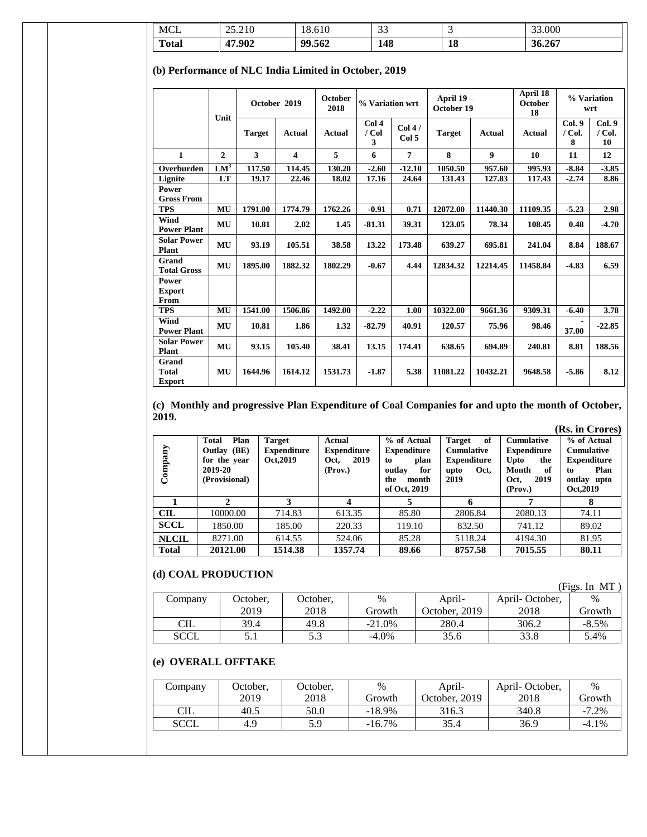| <b>MCL</b>                                            |              | 25.210        |                         | 18.610                 | 33                    |                 | 3                       |                  | 33.000                           |                        |                         |
|-------------------------------------------------------|--------------|---------------|-------------------------|------------------------|-----------------------|-----------------|-------------------------|------------------|----------------------------------|------------------------|-------------------------|
| <b>Total</b>                                          |              | 47.902        |                         | 99.562                 | 148                   |                 | 18                      |                  | 36.267                           |                        |                         |
| (b) Performance of NLC India Limited in October, 2019 |              |               |                         |                        |                       |                 |                         |                  |                                  |                        |                         |
|                                                       | Unit         |               | October 2019            | <b>October</b><br>2018 | % Variation wrt       |                 | April 19-<br>October 19 |                  | April 18<br><b>October</b><br>18 | % Variation            | wrt                     |
|                                                       |              | <b>Target</b> | <b>Actual</b>           | <b>Actual</b>          | Col 4<br>$/$ Col<br>3 | Col 4/<br>Col 5 | <b>Target</b>           | <b>Actual</b>    | <b>Actual</b>                    | Col.9<br>$/$ Col.<br>8 | Col.9<br>$/$ Col.<br>10 |
| $\mathbf{1}$                                          | $\mathbf{2}$ | 3             | $\overline{\mathbf{4}}$ | 5                      | 6                     | 7               | 8                       | $\boldsymbol{9}$ | 10                               | 11                     | 12                      |
| Overburden                                            | $LM^3$       | 117.50        | 114.45                  | 130.20                 | $-2.60$               | $-12.10$        | 1050.50                 | 957.60           | 995.93                           | $-8.84$                | $-3.85$                 |
| Lignite                                               | LT           | 19.17         | 22.46                   | 18.02                  | 17.16                 | 24.64           | 131.43                  | 127.83           | 117.43                           | $-2.74$                | 8.86                    |
| Power<br><b>Gross From</b>                            |              |               |                         |                        |                       |                 |                         |                  |                                  |                        |                         |
| <b>TPS</b>                                            | MU           | 1791.00       | 1774.79                 | 1762.26                | $-0.91$               | 0.71            | 12072.00                | 11440.30         | 11109.35                         | $-5.23$                | 2.98                    |
| Wind<br><b>Power Plant</b>                            | MU           | 10.81         | 2.02                    | 1.45                   | $-81.31$              | 39.31           | 123.05                  | 78.34            | 108.45                           | 0.48                   | $-4.70$                 |
| <b>Solar Power</b><br>Plant                           | MU           | 93.19         | 105.51                  | 38.58                  | 13.22                 | 173.48          | 639.27                  | 695.81           | 241.04                           | 8.84                   | 188.67                  |
| Grand<br><b>Total Gross</b>                           | MU           | 1895.00       | 1882.32                 | 1802.29                | $-0.67$               | 4.44            | 12834.32                | 12214.45         | 11458.84                         | $-4.83$                | 6.59                    |
| Power<br><b>Export</b><br>From                        |              |               |                         |                        |                       |                 |                         |                  |                                  |                        |                         |
| <b>TPS</b>                                            | MU           | 1541.00       | 1506.86                 | 1492.00                | $-2.22$               | 1.00            | 10322.00                | 9661.36          | 9309.31                          | $-6.40$                | 3.78                    |
| Wind<br><b>Power Plant</b>                            | MU           | 10.81         | 1.86                    | 1.32                   | $-82.79$              | 40.91           | 120.57                  | 75.96            | 98.46                            | 37.00                  | $-22.85$                |
| <b>Solar Power</b><br>Plant                           | MU           | 93.15         | 105.40                  | 38.41                  | 13.15                 | 174.41          | 638.65                  | 694.89           | 240.81                           | 8.81                   | 188.56                  |
| Grand<br><b>Total</b><br><b>Export</b>                | MU           | 1644.96       | 1614.12                 | 1531.73                | $-1.87$               | 5.38            | 11081.22                | 10432.21         | 9648.58                          | $-5.86$                | 8.12                    |

**(c) Monthly and progressive Plan Expenditure of Coal Companies for and upto the month of October, 2019.**

|              |                                                                                 |                                                  |                                                         |                                                                                                  |                                                                                        |                                                                                                            | (Rs. in Crores)                                                                                  |
|--------------|---------------------------------------------------------------------------------|--------------------------------------------------|---------------------------------------------------------|--------------------------------------------------------------------------------------------------|----------------------------------------------------------------------------------------|------------------------------------------------------------------------------------------------------------|--------------------------------------------------------------------------------------------------|
| Company      | <b>Total</b><br>Plan<br>Outlay (BE)<br>for the year<br>2019-20<br>(Provisional) | <b>Target</b><br><b>Expenditure</b><br>Oct, 2019 | Actual<br><b>Expenditure</b><br>2019<br>Oct,<br>(Prov.) | % of Actual<br><b>Expenditure</b><br>plan<br>to<br>outlay<br>for<br>the<br>month<br>of Oct, 2019 | <b>Target</b><br>of<br><b>Cumulative</b><br><b>Expenditure</b><br>Oct,<br>upto<br>2019 | <b>Cumulative</b><br><b>Expenditure</b><br><b>U</b> pto<br>the<br>Month<br>- of<br>2019<br>Oct.<br>(Prov.) | % of Actual<br><b>Cumulative</b><br><b>Expenditure</b><br>Plan<br>to<br>outlay upto<br>Oct, 2019 |
|              | 2                                                                               | 3                                                | 4                                                       |                                                                                                  | 6                                                                                      | 7                                                                                                          | 8                                                                                                |
| <b>CIL</b>   | 10000.00                                                                        | 714.83                                           | 613.35                                                  | 85.80                                                                                            | 2806.84                                                                                | 2080.13                                                                                                    | 74.11                                                                                            |
| <b>SCCL</b>  | 1850.00                                                                         | 185.00                                           | 220.33                                                  | 119.10                                                                                           | 832.50                                                                                 | 741.12                                                                                                     | 89.02                                                                                            |
| <b>NLCIL</b> | 8271.00                                                                         | 614.55                                           | 524.06                                                  | 85.28                                                                                            | 5118.24                                                                                | 4194.30                                                                                                    | 81.95                                                                                            |
| <b>Total</b> | 20121.00                                                                        | 1514.38                                          | 1357.74                                                 | 89.66                                                                                            | 8757.58                                                                                | 7015.55                                                                                                    | 80.11                                                                                            |

## **(d) COAL PRODUCTION**

| .           |          |          |          |               |                | (Figs. In MT) |
|-------------|----------|----------|----------|---------------|----------------|---------------|
| Company     | October, | October, | $\%$     | April-        | April-October, | $\%$          |
|             | 2019     | 2018     | Growth   | October, 2019 | 2018           | Growth        |
| CIL         | 39.4     | 49.8     | $-21.0%$ | 280.4         | 306.2          | $-8.5\%$      |
| <b>SCCL</b> |          | 5.3      | $-4.0\%$ | 35.6          | 33.8           | 5.4%          |

# **(e) OVERALL OFFTAKE**

| Company     | October,<br>October. |      | %         | April-        | April-October, | $\%$     |
|-------------|----------------------|------|-----------|---------------|----------------|----------|
|             | 2019                 | 2018 | Growth    | October, 2019 | 2018           | Growth   |
| <b>CIL</b>  | 40.5                 | 50.0 | $-18.9%$  | 316.3         | 340.8          | $-7.2\%$ |
| <b>SCCL</b> | 4.9                  | 5.9  | $-16.7\%$ | 35.4          | 36.9           | $-4.1\%$ |
|             |                      |      |           |               |                |          |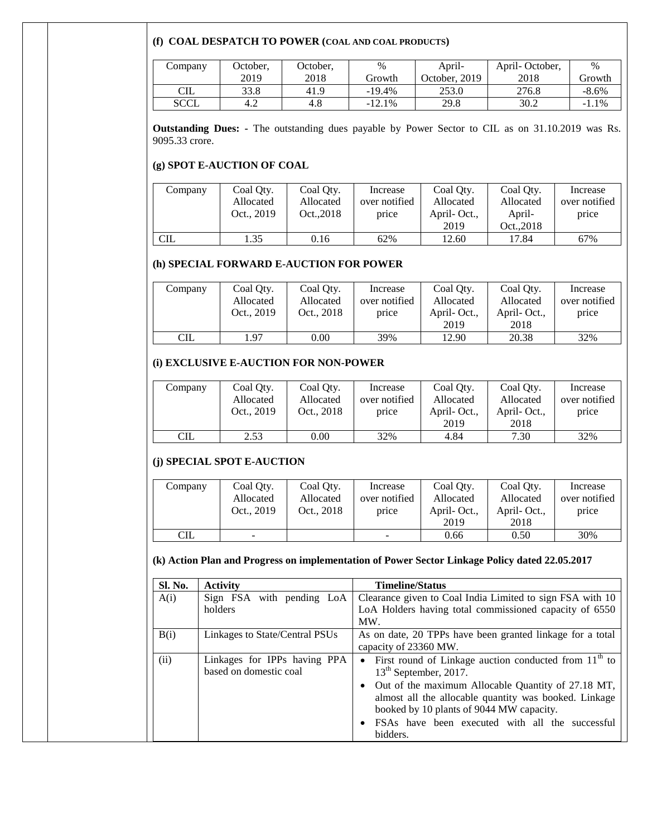#### **(f) COAL DESPATCH TO POWER (COAL AND COAL PRODUCTS)**

| Company | October, | October, | $\%$     | April-        | April-October, | $\%$     |
|---------|----------|----------|----------|---------------|----------------|----------|
|         | 2019     | 2018     | Growth   | October, 2019 | 2018           | Growth   |
| CIL     | 33.8     | 41.9     | $-19.4%$ | 253.0         | 276.8          | $-8.6\%$ |
| SCCL    | 4.2      | 4.8      | $-12.1%$ | 29.8          | 30.2           | $-1.1\%$ |

**Outstanding Dues: -** The outstanding dues payable by Power Sector to CIL as on 31.10.2019 was Rs. 9095.33 crore.

#### **(g) SPOT E-AUCTION OF COAL**

| Company    | Coal Oty.  | Coal Oty. | Increase      | Coal Oty.   | Coal Oty.  | Increase      |
|------------|------------|-----------|---------------|-------------|------------|---------------|
|            | Allocated  | Allocated | over notified | Allocated   | Allocated  | over notified |
|            | Oct., 2019 | Oct2018   | price         | April-Oct., | April-     | price         |
|            |            |           |               | 2019        | Oct., 2018 |               |
| <b>CIL</b> | 1.35       | 0.16      | 62%           | 12.60       | 17.84      | 67%           |

#### **(h) SPECIAL FORWARD E-AUCTION FOR POWER**

| Company    | Coal Oty.<br>Allocated<br>Oct., 2019 | Coal Oty.<br>Allocated<br>Oct., 2018 | Increase<br>over notified<br>price | Coal Oty.<br>Allocated<br>April-Oct.,<br>2019 | Coal Oty.<br>Allocated<br>April-Oct.,<br>2018 | Increase<br>over notified<br>price |
|------------|--------------------------------------|--------------------------------------|------------------------------------|-----------------------------------------------|-----------------------------------------------|------------------------------------|
| <b>CIL</b> | . 97                                 | 0.00                                 | 39%                                | 12.90                                         | 20.38                                         | 32%                                |

#### **(i) EXCLUSIVE E-AUCTION FOR NON-POWER**

| Company    | Coal Oty.  | Coal Oty.  | Increase      | Coal Oty.   | Coal Oty.   | Increase      |
|------------|------------|------------|---------------|-------------|-------------|---------------|
|            | Allocated  | Allocated  | over notified | Allocated   | Allocated   | over notified |
|            | Oct., 2019 | Oct., 2018 | price         | April-Oct., | April-Oct., | price         |
|            |            |            |               | 2019        | 2018        |               |
| <b>CIL</b> | 2.53       | 0.00       | 32%           | 4.84        | 7.30        | 32%           |

### **(j) SPECIAL SPOT E-AUCTION**

| Company    | Coal Oty.<br>Allocated<br>Oct., 2019 | Coal Oty.<br>Allocated<br>Oct., 2018 | Increase<br>over notified<br>price | Coal Oty.<br>Allocated<br>April-Oct.,<br>2019 | Coal Oty.<br>Allocated<br>April-Oct.,<br>2018 | Increase<br>over notified<br>price |
|------------|--------------------------------------|--------------------------------------|------------------------------------|-----------------------------------------------|-----------------------------------------------|------------------------------------|
| <b>CIL</b> |                                      |                                      | -                                  | 0.66                                          | 0.50                                          | 30%                                |

# **(k) Action Plan and Progress on implementation of Power Sector Linkage Policy dated 22.05.2017**

| Sl. No. | <b>Activity</b>                                        | <b>Timeline/Status</b>                                                                                                                                  |
|---------|--------------------------------------------------------|---------------------------------------------------------------------------------------------------------------------------------------------------------|
| A(i)    | Sign FSA with pending LoA                              | Clearance given to Coal India Limited to sign FSA with 10                                                                                               |
|         | holders                                                | LoA Holders having total commissioned capacity of 6550<br>MW.                                                                                           |
| B(i)    | Linkages to State/Central PSUs                         | As on date, 20 TPPs have been granted linkage for a total<br>capacity of 23360 MW.                                                                      |
| (ii)    | Linkages for IPPs having PPA<br>based on domestic coal | First round of Linkage auction conducted from $11th$ to<br>$\bullet$<br>13 <sup>th</sup> September, 2017.                                               |
|         |                                                        | Out of the maximum Allocable Quantity of 27.18 MT,<br>almost all the allocable quantity was booked. Linkage<br>booked by 10 plants of 9044 MW capacity. |
|         |                                                        | FSAs have been executed with all the successful<br>bidders.                                                                                             |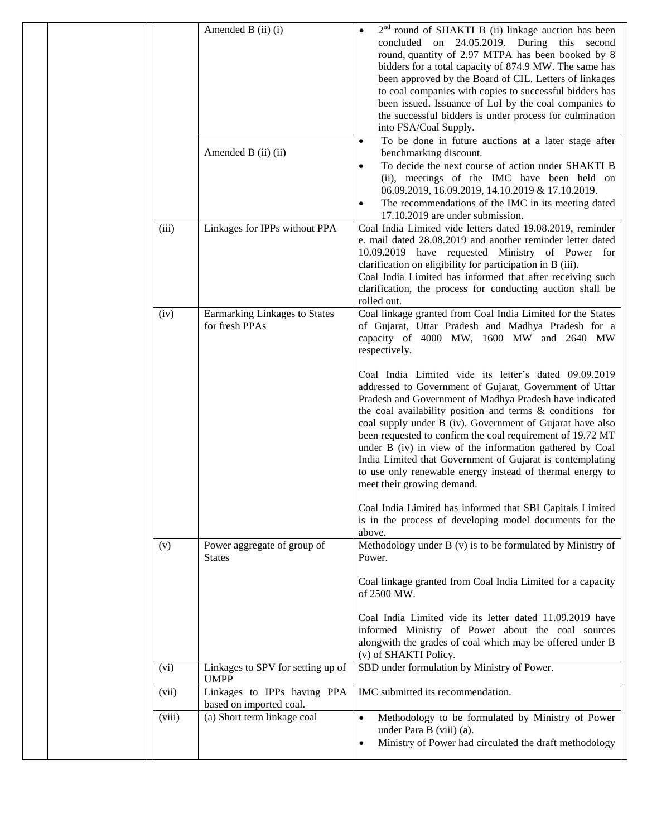|        | Amended B (ii) (i)                                     | $2nd$ round of SHAKTI B (ii) linkage auction has been<br>concluded on 24.05.2019. During this second<br>round, quantity of 2.97 MTPA has been booked by 8<br>bidders for a total capacity of 874.9 MW. The same has<br>been approved by the Board of CIL. Letters of linkages<br>to coal companies with copies to successful bidders has<br>been issued. Issuance of LoI by the coal companies to<br>the successful bidders is under process for culmination<br>into FSA/Coal Supply.                                                                                                   |
|--------|--------------------------------------------------------|-----------------------------------------------------------------------------------------------------------------------------------------------------------------------------------------------------------------------------------------------------------------------------------------------------------------------------------------------------------------------------------------------------------------------------------------------------------------------------------------------------------------------------------------------------------------------------------------|
|        | Amended B (ii) (ii)                                    | To be done in future auctions at a later stage after<br>$\bullet$<br>benchmarking discount.<br>To decide the next course of action under SHAKTI B<br>$\bullet$<br>(ii), meetings of the IMC have been held on<br>06.09.2019, 16.09.2019, 14.10.2019 & 17.10.2019.<br>The recommendations of the IMC in its meeting dated<br>$\bullet$                                                                                                                                                                                                                                                   |
| (iii)  | Linkages for IPPs without PPA                          | 17.10.2019 are under submission.<br>Coal India Limited vide letters dated 19.08.2019, reminder<br>e. mail dated 28.08.2019 and another reminder letter dated<br>10.09.2019 have requested Ministry of Power for<br>clarification on eligibility for participation in B (iii).<br>Coal India Limited has informed that after receiving such<br>clarification, the process for conducting auction shall be<br>rolled out.                                                                                                                                                                 |
| (iv)   | Earmarking Linkages to States<br>for fresh PPAs        | Coal linkage granted from Coal India Limited for the States<br>of Gujarat, Uttar Pradesh and Madhya Pradesh for a<br>capacity of 4000 MW, 1600 MW and 2640 MW<br>respectively.                                                                                                                                                                                                                                                                                                                                                                                                          |
|        |                                                        | Coal India Limited vide its letter's dated 09.09.2019<br>addressed to Government of Gujarat, Government of Uttar<br>Pradesh and Government of Madhya Pradesh have indicated<br>the coal availability position and terms & conditions for<br>coal supply under B (iv). Government of Gujarat have also<br>been requested to confirm the coal requirement of 19.72 MT<br>under B (iv) in view of the information gathered by Coal<br>India Limited that Government of Gujarat is contemplating<br>to use only renewable energy instead of thermal energy to<br>meet their growing demand. |
|        |                                                        | Coal India Limited has informed that SBI Capitals Limited<br>is in the process of developing model documents for the<br>above.                                                                                                                                                                                                                                                                                                                                                                                                                                                          |
| (v)    | Power aggregate of group of<br><b>States</b>           | Methodology under B (v) is to be formulated by Ministry of<br>Power.<br>Coal linkage granted from Coal India Limited for a capacity<br>of 2500 MW.                                                                                                                                                                                                                                                                                                                                                                                                                                      |
|        |                                                        | Coal India Limited vide its letter dated 11.09.2019 have<br>informed Ministry of Power about the coal sources<br>alongwith the grades of coal which may be offered under B<br>(v) of SHAKTI Policy.                                                                                                                                                                                                                                                                                                                                                                                     |
| (vi)   | Linkages to SPV for setting up of<br><b>UMPP</b>       | SBD under formulation by Ministry of Power.                                                                                                                                                                                                                                                                                                                                                                                                                                                                                                                                             |
| (vii)  | Linkages to IPPs having PPA<br>based on imported coal. | IMC submitted its recommendation.                                                                                                                                                                                                                                                                                                                                                                                                                                                                                                                                                       |
| (viii) | (a) Short term linkage coal                            | Methodology to be formulated by Ministry of Power<br>$\bullet$<br>under Para B (viii) (a).<br>Ministry of Power had circulated the draft methodology<br>$\bullet$                                                                                                                                                                                                                                                                                                                                                                                                                       |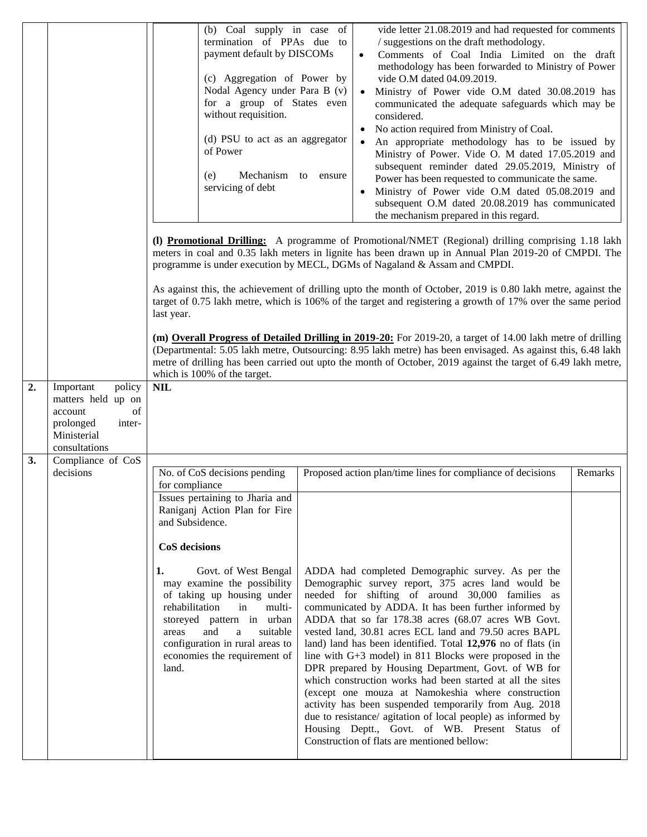| (b) Coal supply in case of<br>termination of PPAs due to<br>payment default by DISCOMs<br>(c) Aggregation of Power by<br>Nodal Agency under Para B (v)<br>for a group of States even<br>without requisition.<br>(d) PSU to act as an aggregator<br>of Power<br>Mechanism to ensure<br>(e)<br>servicing of debt |                                                                                                                                        |                                                                                                                                                                                                                                                                                                                                                                                                                                                                                                                                                                                 | vide letter 21.08.2019 and had requested for comments<br>/ suggestions on the draft methodology.<br>Comments of Coal India Limited on the draft<br>$\bullet$<br>methodology has been forwarded to Ministry of Power<br>vide O.M dated 04.09.2019.<br>• Ministry of Power vide O.M dated 30.08.2019 has<br>communicated the adequate safeguards which may be<br>considered.<br>No action required from Ministry of Coal.<br>An appropriate methodology has to be issued by<br>$\bullet$<br>Ministry of Power. Vide O. M dated 17.05.2019 and<br>subsequent reminder dated 29.05.2019, Ministry of<br>Power has been requested to communicate the same.<br>Ministry of Power vide O.M dated 05.08.2019 and<br>$\bullet$<br>subsequent O.M dated 20.08.2019 has communicated                                                                                                |  |  |  |
|----------------------------------------------------------------------------------------------------------------------------------------------------------------------------------------------------------------------------------------------------------------------------------------------------------------|----------------------------------------------------------------------------------------------------------------------------------------|---------------------------------------------------------------------------------------------------------------------------------------------------------------------------------------------------------------------------------------------------------------------------------------------------------------------------------------------------------------------------------------------------------------------------------------------------------------------------------------------------------------------------------------------------------------------------------|--------------------------------------------------------------------------------------------------------------------------------------------------------------------------------------------------------------------------------------------------------------------------------------------------------------------------------------------------------------------------------------------------------------------------------------------------------------------------------------------------------------------------------------------------------------------------------------------------------------------------------------------------------------------------------------------------------------------------------------------------------------------------------------------------------------------------------------------------------------------------|--|--|--|
|                                                                                                                                                                                                                                                                                                                |                                                                                                                                        | the mechanism prepared in this regard.<br>(1) Promotional Drilling: A programme of Promotional/NMET (Regional) drilling comprising 1.18 lakh<br>meters in coal and 0.35 lakh meters in lignite has been drawn up in Annual Plan 2019-20 of CMPDI. The<br>programme is under execution by MECL, DGMs of Nagaland & Assam and CMPDI.<br>As against this, the achievement of drilling upto the month of October, 2019 is 0.80 lakh metre, against the<br>target of 0.75 lakh metre, which is 106% of the target and registering a growth of 17% over the same period<br>last year. |                                                                                                                                                                                                                                                                                                                                                                                                                                                                                                                                                                                                                                                                                                                                                                                                                                                                          |  |  |  |
|                                                                                                                                                                                                                                                                                                                |                                                                                                                                        | (m) Overall Progress of Detailed Drilling in 2019-20: For 2019-20, a target of 14.00 lakh metre of drilling<br>(Departmental: 5.05 lakh metre, Outsourcing: 8.95 lakh metre) has been envisaged. As against this, 6.48 lakh<br>metre of drilling has been carried out upto the month of October, 2019 against the target of 6.49 lakh metre,<br>which is 100% of the target.                                                                                                                                                                                                    |                                                                                                                                                                                                                                                                                                                                                                                                                                                                                                                                                                                                                                                                                                                                                                                                                                                                          |  |  |  |
| 2.<br>3.                                                                                                                                                                                                                                                                                                       | policy<br>Important<br>matters held up on<br>of<br>account<br>prolonged<br>inter-<br>Ministerial<br>consultations<br>Compliance of CoS | $\ensuremath{\textnormal{\textbf{NIL}}}$                                                                                                                                                                                                                                                                                                                                                                                                                                                                                                                                        |                                                                                                                                                                                                                                                                                                                                                                                                                                                                                                                                                                                                                                                                                                                                                                                                                                                                          |  |  |  |
|                                                                                                                                                                                                                                                                                                                | decisions                                                                                                                              | No. of CoS decisions pending<br>for compliance<br>Issues pertaining to Jharia and                                                                                                                                                                                                                                                                                                                                                                                                                                                                                               | Proposed action plan/time lines for compliance of decisions<br>Remarks                                                                                                                                                                                                                                                                                                                                                                                                                                                                                                                                                                                                                                                                                                                                                                                                   |  |  |  |
|                                                                                                                                                                                                                                                                                                                |                                                                                                                                        | Raniganj Action Plan for Fire<br>and Subsidence.<br>CoS decisions                                                                                                                                                                                                                                                                                                                                                                                                                                                                                                               |                                                                                                                                                                                                                                                                                                                                                                                                                                                                                                                                                                                                                                                                                                                                                                                                                                                                          |  |  |  |
|                                                                                                                                                                                                                                                                                                                |                                                                                                                                        | 1.<br>Govt. of West Bengal<br>may examine the possibility<br>of taking up housing under<br>rehabilitation<br>in<br>multi-<br>storeyed pattern in urban<br>and<br>areas<br>a<br>suitable<br>configuration in rural areas to<br>economies the requirement of<br>land.                                                                                                                                                                                                                                                                                                             | ADDA had completed Demographic survey. As per the<br>Demographic survey report, 375 acres land would be<br>needed for shifting of around 30,000 families as<br>communicated by ADDA. It has been further informed by<br>ADDA that so far 178.38 acres (68.07 acres WB Govt.<br>vested land, 30.81 acres ECL land and 79.50 acres BAPL<br>land) land has been identified. Total 12,976 no of flats (in<br>line with $G+3$ model) in 811 Blocks were proposed in the<br>DPR prepared by Housing Department, Govt. of WB for<br>which construction works had been started at all the sites<br>(except one mouza at Namokeshia where construction<br>activity has been suspended temporarily from Aug. 2018<br>due to resistance/ agitation of local people) as informed by<br>Housing Deptt., Govt. of WB. Present Status of<br>Construction of flats are mentioned bellow: |  |  |  |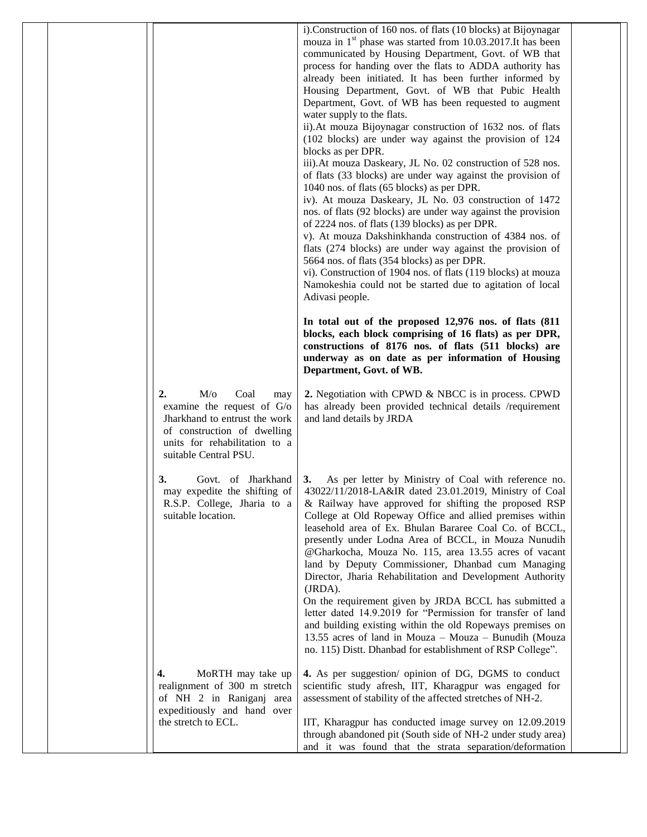|  |                                                                                                                                                                                  | i). Construction of 160 nos. of flats (10 blocks) at Bijoynagar<br>mouza in $1st$ phase was started from 10.03.2017.It has been<br>communicated by Housing Department, Govt. of WB that<br>process for handing over the flats to ADDA authority has<br>already been initiated. It has been further informed by<br>Housing Department, Govt. of WB that Pubic Health<br>Department, Govt. of WB has been requested to augment<br>water supply to the flats.<br>ii). At mouza Bijoynagar construction of 1632 nos. of flats<br>(102 blocks) are under way against the provision of 124<br>blocks as per DPR.<br>iii). At mouza Daskeary, JL No. 02 construction of 528 nos.<br>of flats (33 blocks) are under way against the provision of<br>1040 nos. of flats (65 blocks) as per DPR.<br>iv). At mouza Daskeary, JL No. 03 construction of 1472<br>nos. of flats (92 blocks) are under way against the provision<br>of 2224 nos. of flats (139 blocks) as per DPR.<br>v). At mouza Dakshinkhanda construction of 4384 nos. of<br>flats (274 blocks) are under way against the provision of<br>5664 nos. of flats (354 blocks) as per DPR.<br>vi). Construction of 1904 nos. of flats (119 blocks) at mouza<br>Namokeshia could not be started due to agitation of local<br>Adivasi people.<br>In total out of the proposed 12,976 nos. of flats (811)<br>blocks, each block comprising of 16 flats) as per DPR,<br>constructions of 8176 nos. of flats (511 blocks) are<br>underway as on date as per information of Housing<br>Department, Govt. of WB. |  |
|--|----------------------------------------------------------------------------------------------------------------------------------------------------------------------------------|-----------------------------------------------------------------------------------------------------------------------------------------------------------------------------------------------------------------------------------------------------------------------------------------------------------------------------------------------------------------------------------------------------------------------------------------------------------------------------------------------------------------------------------------------------------------------------------------------------------------------------------------------------------------------------------------------------------------------------------------------------------------------------------------------------------------------------------------------------------------------------------------------------------------------------------------------------------------------------------------------------------------------------------------------------------------------------------------------------------------------------------------------------------------------------------------------------------------------------------------------------------------------------------------------------------------------------------------------------------------------------------------------------------------------------------------------------------------------------------------------------------------------------------------------------------|--|
|  | M/o<br>Coal<br>2.<br>may<br>examine the request of G/o<br>Jharkhand to entrust the work<br>of construction of dwelling<br>units for rehabilitation to a<br>suitable Central PSU. | 2. Negotiation with CPWD & NBCC is in process. CPWD<br>has already been provided technical details /requirement<br>and land details by JRDA                                                                                                                                                                                                                                                                                                                                                                                                                                                                                                                                                                                                                                                                                                                                                                                                                                                                                                                                                                                                                                                                                                                                                                                                                                                                                                                                                                                                               |  |
|  | 3.<br>Govt. of Jharkhand<br>may expedite the shifting of<br>R.S.P. College, Jharia to a<br>suitable location.                                                                    | As per letter by Ministry of Coal with reference no.<br>$\vert 3. \vert$<br>43022/11/2018-LA&IR dated 23.01.2019, Ministry of Coal<br>& Railway have approved for shifting the proposed RSP<br>College at Old Ropeway Office and allied premises within<br>leasehold area of Ex. Bhulan Bararee Coal Co. of BCCL,<br>presently under Lodna Area of BCCL, in Mouza Nunudih<br>@Gharkocha, Mouza No. 115, area 13.55 acres of vacant<br>land by Deputy Commissioner, Dhanbad cum Managing<br>Director, Jharia Rehabilitation and Development Authority<br>(JRDA).<br>On the requirement given by JRDA BCCL has submitted a<br>letter dated 14.9.2019 for "Permission for transfer of land<br>and building existing within the old Ropeways premises on<br>13.55 acres of land in Mouza - Mouza - Bunudih (Mouza<br>no. 115) Distt. Dhanbad for establishment of RSP College".                                                                                                                                                                                                                                                                                                                                                                                                                                                                                                                                                                                                                                                                               |  |
|  | MoRTH may take up<br>4.<br>realignment of 300 m stretch<br>of NH 2 in Raniganj area<br>expeditiously and hand over<br>the stretch to ECL.                                        | 4. As per suggestion/ opinion of DG, DGMS to conduct<br>scientific study afresh, IIT, Kharagpur was engaged for<br>assessment of stability of the affected stretches of NH-2.<br>IIT, Kharagpur has conducted image survey on 12.09.2019<br>through abandoned pit (South side of NH-2 under study area)<br>and it was found that the strata separation/deformation                                                                                                                                                                                                                                                                                                                                                                                                                                                                                                                                                                                                                                                                                                                                                                                                                                                                                                                                                                                                                                                                                                                                                                                        |  |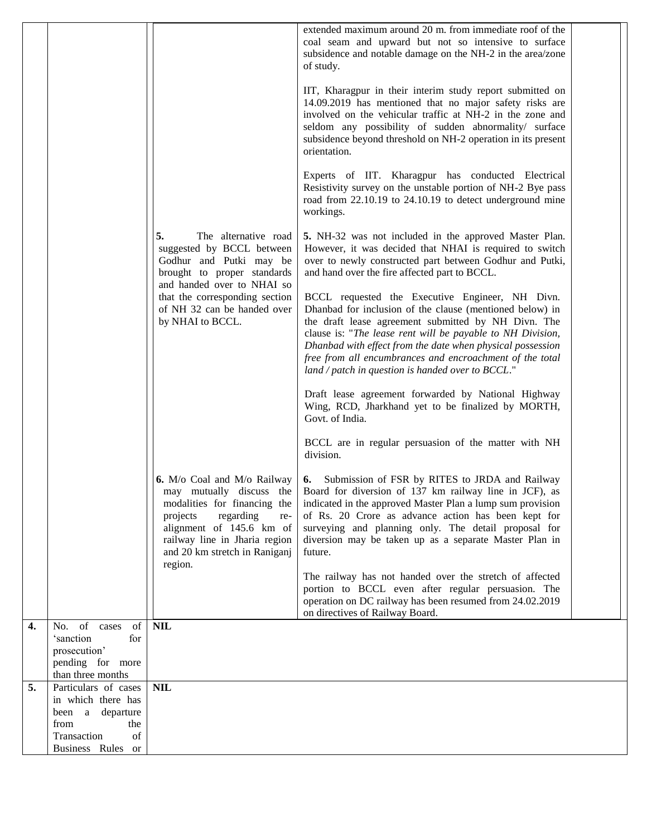|    |                                                   |                                                                                                                                                                                                             | extended maximum around 20 m. from immediate roof of the<br>coal seam and upward but not so intensive to surface<br>subsidence and notable damage on the NH-2 in the area/zone<br>of study.<br>IIT, Kharagpur in their interim study report submitted on<br>14.09.2019 has mentioned that no major safety risks are<br>involved on the vehicular traffic at NH-2 in the zone and<br>seldom any possibility of sudden abnormality/ surface<br>subsidence beyond threshold on NH-2 operation in its present<br>orientation.                                             |  |
|----|---------------------------------------------------|-------------------------------------------------------------------------------------------------------------------------------------------------------------------------------------------------------------|-----------------------------------------------------------------------------------------------------------------------------------------------------------------------------------------------------------------------------------------------------------------------------------------------------------------------------------------------------------------------------------------------------------------------------------------------------------------------------------------------------------------------------------------------------------------------|--|
|    |                                                   |                                                                                                                                                                                                             | Experts of IIT. Kharagpur has conducted Electrical<br>Resistivity survey on the unstable portion of NH-2 Bye pass<br>road from 22.10.19 to 24.10.19 to detect underground mine<br>workings.                                                                                                                                                                                                                                                                                                                                                                           |  |
|    |                                                   | 5.<br>The alternative road<br>suggested by BCCL between<br>Godhur and Putki may be<br>brought to proper standards<br>and handed over to NHAI so                                                             | 5. NH-32 was not included in the approved Master Plan.<br>However, it was decided that NHAI is required to switch<br>over to newly constructed part between Godhur and Putki,<br>and hand over the fire affected part to BCCL.                                                                                                                                                                                                                                                                                                                                        |  |
|    |                                                   | that the corresponding section<br>of NH 32 can be handed over<br>by NHAI to BCCL.                                                                                                                           | BCCL requested the Executive Engineer, NH Divn.<br>Dhanbad for inclusion of the clause (mentioned below) in<br>the draft lease agreement submitted by NH Divn. The<br>clause is: "The lease rent will be payable to NH Division,<br>Dhanbad with effect from the date when physical possession<br>free from all encumbrances and encroachment of the total<br>land / patch in question is handed over to $BCL."$                                                                                                                                                      |  |
|    |                                                   |                                                                                                                                                                                                             | Draft lease agreement forwarded by National Highway<br>Wing, RCD, Jharkhand yet to be finalized by MORTH,<br>Govt. of India.                                                                                                                                                                                                                                                                                                                                                                                                                                          |  |
|    |                                                   |                                                                                                                                                                                                             | BCCL are in regular persuasion of the matter with NH<br>division.                                                                                                                                                                                                                                                                                                                                                                                                                                                                                                     |  |
|    |                                                   | <b>6.</b> M/o Coal and M/o Railway<br>modalities for financing the<br>regarding<br>projects<br>re-<br>alignment of 145.6 km of<br>railway line in Jharia region<br>and 20 km stretch in Raniganj<br>region. | 6. Submission of FSR by RITES to JRDA and Railway<br>may mutually discuss the   Board for diversion of 137 km railway line in JCF), as<br>indicated in the approved Master Plan a lump sum provision<br>of Rs. 20 Crore as advance action has been kept for<br>surveying and planning only. The detail proposal for<br>diversion may be taken up as a separate Master Plan in<br>future.<br>The railway has not handed over the stretch of affected<br>portion to BCCL even after regular persuasion. The<br>operation on DC railway has been resumed from 24.02.2019 |  |
|    |                                                   |                                                                                                                                                                                                             | on directives of Railway Board.                                                                                                                                                                                                                                                                                                                                                                                                                                                                                                                                       |  |
| 4. | No. of cases<br><sub>of</sub><br>'sanction<br>for | <b>NIL</b>                                                                                                                                                                                                  |                                                                                                                                                                                                                                                                                                                                                                                                                                                                                                                                                                       |  |
|    | prosecution'<br>pending for more                  |                                                                                                                                                                                                             |                                                                                                                                                                                                                                                                                                                                                                                                                                                                                                                                                                       |  |
| 5. | than three months<br>Particulars of cases         | <b>NIL</b>                                                                                                                                                                                                  |                                                                                                                                                                                                                                                                                                                                                                                                                                                                                                                                                                       |  |
|    | in which there has<br>been a departure            |                                                                                                                                                                                                             |                                                                                                                                                                                                                                                                                                                                                                                                                                                                                                                                                                       |  |
|    | from<br>the<br>Transaction<br>of                  |                                                                                                                                                                                                             |                                                                                                                                                                                                                                                                                                                                                                                                                                                                                                                                                                       |  |
|    | Business Rules or                                 |                                                                                                                                                                                                             |                                                                                                                                                                                                                                                                                                                                                                                                                                                                                                                                                                       |  |